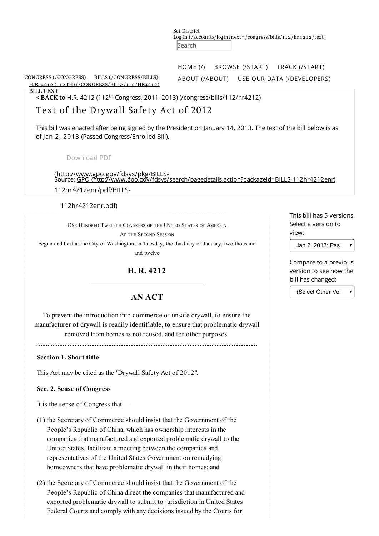Set District Log In [\(/accounts/login?next=/congress/bills/1](https://www.govtrack.us/accounts/login?next=/congress/bills/112/hr4212/text) 1 2/hr421 2/text) Search

[HOME](https://www.govtrack.us/) (/) [BROWSE](https://www.govtrack.us/start) (/START) TRACK [\(/START\)](https://www.govtrack.us/start)

CONGRESS [\(/CONGRESS\)](https://www.govtrack.us/congress) BILLS [\(/CONGRESS/BILLS\)](https://www.govtrack.us/congress/bills) H.R. 4212 (112TH) [\(/CONGRESS/BILLS/1](https://www.govtrack.us/congress/bills/112/hr4212)12/HR4212) ABOUT [\(/ABOUT\)](https://www.govtrack.us/about) USE OUR DATA [\(/DEVELOPERS\)](https://www.govtrack.us/developers)

BILL TEXT

< BACK to H.R. 4212 (112<sup>th</sup> Congress, 2011-2013) [\(/congress/bills/112/hr4212\)](https://www.govtrack.us/congress/bills/112/hr4212)

# Text of the Drywall Safety Act of 2012

This bill was enacted after being signed by the President on January 14, 2013. The text of the bill below is as of Jan 2, 2013 (Passed Congress/Enrolled Bill).

[Download](http://www.gpo.gov/fdsys/pkg/BILLS-112hr4212enr/pdf/BILLS-112hr4212enr.pdf) PDF

(http://www.gpo.gov/fdsys/pkg/BILLS-<br>Source: GPO (http://www.gpo.gov/fdsys/ 112hr4212enr/pdf/BILLS-...\_\_\_<br>dsys/search/pagedetails.action?packageId=BILLS-112hr4212enr)

112hr4212enr.pdf)

ONE HUNDRED TWELFTH CONGRESS OF THE UNITED STATES OF AMERICA

AT THE SECOND SESSION

Begun and held at the City of Washington on Tuesday, the third day of January, two thousand and twelve

H. R. 4212

## AN ACT

To prevent the introduction into commerce of unsafe drywall, to ensure the manufacturer of drywall is readily identifiable, to ensure that problematic drywall removed from homes is not reused, and for other purposes.

### Section 1. Short title

This Act may be cited as the "Drywall Safety Act of 2012".

### Sec. 2. Sense of Congress

It is the sense of Congress that—

- (1) the Secretary of Commerce should insist that the Government of the People's Republic of China, which has ownership interests in the companies that manufactured and exported problematic drywall to the United States, facilitate a meeting between the companies and representatives of the United States Government on remedying homeowners that have problematic drywall in their homes; and
- (2) the Secretary of Commerce should insist that the Government of the People's Republic of China direct the companies that manufactured and exported problematic drywall to submit to jurisdiction in United States Federal Courts and comply with any decisions issued by the Courts for

This bill has 5 versions. Select a version to view:

Jan 2, 2013: Pas $\bullet$ 

Compare to a previous version to see how the bill has changed:

(Select Other Ver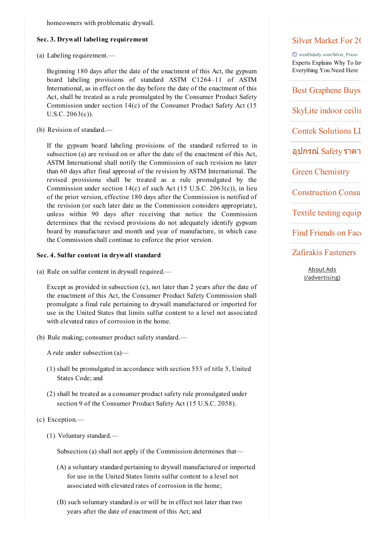homeowners with problematic drywall.

#### Sec. 3. Drywall labeling requirement

(a) Labeling requirement.—

Beginning 180 days after the date of the enactment of this Act, the gypsum board labeling provisions of standard ASTM C1264–11 of ASTM International, as in effect on the day before the date of the enactment of this Act, shall be treated as a rule promulgated by the Consumer Product Safety Commission under section 14(c) of the Consumer Product Safety Act (15 U.S.C. 2063(c)).

(b) Revision of standard.—

If the gypsum board labeling provisions of the standard referred to in subsection (a) are revised on or after the date of the enactment of this Act, ASTM International shall notify the Commission of such revision no later than 60 days after final approval of the revision by ASTM International. The revised provisions shall be treated as a rule promulgated by the Commission under section  $14(c)$  of such Act (15 U.S.C. 2063 $(c)$ ), in lieu of the prior version, effective 180 days after the Commission is notified of the revision (or such later date as the Commission considers appropriate), unless within 90 days after receiving that notice the Commission determines that the revised provisions do not adequately identify gypsum board by manufacturer and month and year of manufacture, in which case the Commission shall continue to enforce the prior version.

#### Sec. 4. Sulfur content in drywall standard

(a) Rule on sulfur content in drywall required.—

Except as provided in subsection (c), not later than 2 years after the date of the enactment of this Act, the Consumer Product Safety Commission shall promulgate a final rule pertaining to drywall manufactured or imported for use in the United States that limits sulfur content to a level not associated with elevated rates of corrosion in the home.

(b) Rule making; consumer product safety standard.—

A rule under subsection (a)—

- (1) shall be promulgated in accordance with section 553 of title 5, United States Code; and
- (2) shall be treated as a consumer product safety rule promulgated under section 9 of the Consumer Product Safety Act (15 U.S.C. 2058).
- (c) Exception.—
	- (1) Voluntary standard.—

Subsection (a) shall not apply if the Commission determines that—

- (A) a voluntary standard pertaining to drywall manufactured or imported for use in the United States limits sulfur content to a level not associated with elevated rates of corrosion in the home;
- (B) such voluntary standard is or will be in effect not later than two years after the date of enactment of this Act; and

## Silver Market For 2015

wealthdaily.com/Silver\_Prices Experts Explains Why To Inv Everything You Need Here

Best Graphene Buys

SkyLite indoor ceiling

Contek Solutions LL

อุปกรณ์ Safety ราคา

Green Chemistry

**Construction Consul** 

Textile testing equip

Find Friends on Face

Zafirakis Fasteners

About Ads [\(/advertising\)](https://www.govtrack.us/advertising)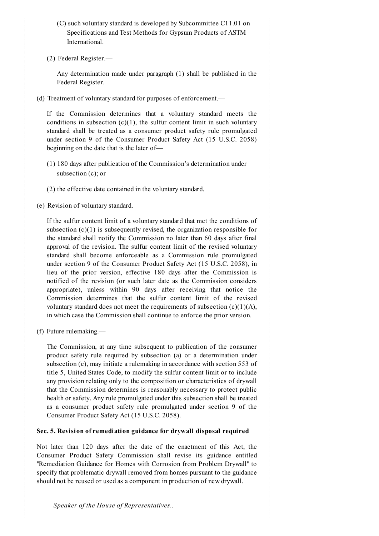- (C) such voluntary standard is developed by Subcommittee C11.01 on Specifications and Test Methods for Gypsum Products of ASTM International.
- (2) Federal Register.—

Any determination made under paragraph (1) shall be published in the Federal Register.

(d) Treatment of voluntary standard for purposes of enforcement.—

If the Commission determines that a voluntary standard meets the conditions in subsection  $(c)(1)$ , the sulfur content limit in such voluntary standard shall be treated as a consumer product safety rule promulgated under section 9 of the Consumer Product Safety Act (15 U.S.C. 2058) beginning on the date that is the later of—

- (1) 180 days after publication of the Commission's determination under subsection (c); or
- (2) the effective date contained in the voluntary standard.
- (e) Revision of voluntary standard.—

If the sulfur content limit of a voluntary standard that met the conditions of subsection  $(c)(1)$  is subsequently revised, the organization responsible for the standard shall notify the Commission no later than 60 days after final approval of the revision. The sulfur content limit of the revised voluntary standard shall become enforceable as a Commission rule promulgated under section 9 of the Consumer Product Safety Act (15 U.S.C. 2058), in lieu of the prior version, effective 180 days after the Commission is notified of the revision (or such later date as the Commission considers appropriate), unless within 90 days after receiving that notice the Commission determines that the sulfur content limit of the revised voluntary standard does not meet the requirements of subsection  $(c)(1)(A)$ , in which case the Commission shall continue to enforce the prior version.

(f) Future rulemaking.—

The Commission, at any time subsequent to publication of the consumer product safety rule required by subsection (a) or a determination under subsection (c), may initiate a rulemaking in accordance with section 553 of title 5, United States Code, to modify the sulfur content limit or to include any provision relating only to the composition or characteristics of drywall that the Commission determines is reasonably necessary to protect public health or safety. Any rule promulgated under this subsection shall be treated as a consumer product safety rule promulgated under section 9 of the Consumer Product Safety Act (15 U.S.C. 2058).

## Sec. 5. Revision of remediation guidance for drywall disposal required

Not later than 120 days after the date of the enactment of this Act, the Consumer Product Safety Commission shall revise its guidance entitled "Remediation Guidance for Homes with Corrosion from Problem Drywall" to specify that problematic drywall removed from homes pursuant to the guidance should not be reused or used as a component in production of new drywall.